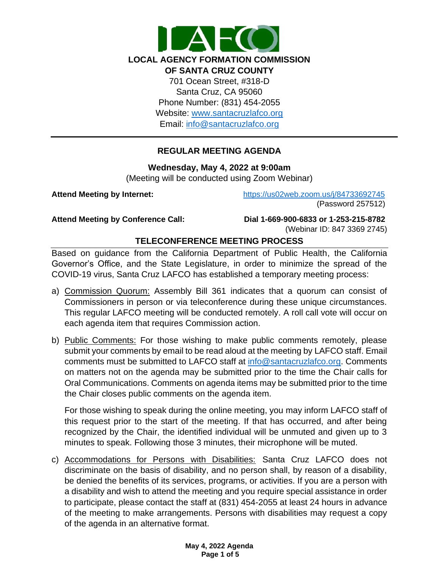

Email: [info@santacruzlafco.org](mailto:info@santacruzlafco.org)

# **REGULAR MEETING AGENDA**

**Wednesday, May 4, 2022 at 9:00am**

(Meeting will be conducted using Zoom Webinar)

**Attend Meeting by Internet:** <https://us02web.zoom.us/j/84733692745> (Password 257512)

**Attend Meeting by Conference Call: Dial 1-669-900-6833 or 1-253-215-8782**  (Webinar ID: 847 3369 2745)

# **TELECONFERENCE MEETING PROCESS**

Based on guidance from the California Department of Public Health, the California Governor's Office, and the State Legislature, in order to minimize the spread of the COVID-19 virus, Santa Cruz LAFCO has established a temporary meeting process:

- a) Commission Quorum: Assembly Bill 361 indicates that a quorum can consist of Commissioners in person or via teleconference during these unique circumstances. This regular LAFCO meeting will be conducted remotely. A roll call vote will occur on each agenda item that requires Commission action.
- b) Public Comments: For those wishing to make public comments remotely, please submit your comments by email to be read aloud at the meeting by LAFCO staff. Email comments must be submitted to LAFCO staff at [info@santacruzlafco.org.](mailto:info@santacruzlafco.org) Comments on matters not on the agenda may be submitted prior to the time the Chair calls for Oral Communications. Comments on agenda items may be submitted prior to the time the Chair closes public comments on the agenda item.

For those wishing to speak during the online meeting, you may inform LAFCO staff of this request prior to the start of the meeting. If that has occurred, and after being recognized by the Chair, the identified individual will be unmuted and given up to 3 minutes to speak. Following those 3 minutes, their microphone will be muted.

c) Accommodations for Persons with Disabilities: Santa Cruz LAFCO does not discriminate on the basis of disability, and no person shall, by reason of a disability, be denied the benefits of its services, programs, or activities. If you are a person with a disability and wish to attend the meeting and you require special assistance in order to participate, please contact the staff at (831) 454-2055 at least 24 hours in advance of the meeting to make arrangements. Persons with disabilities may request a copy of the agenda in an alternative format.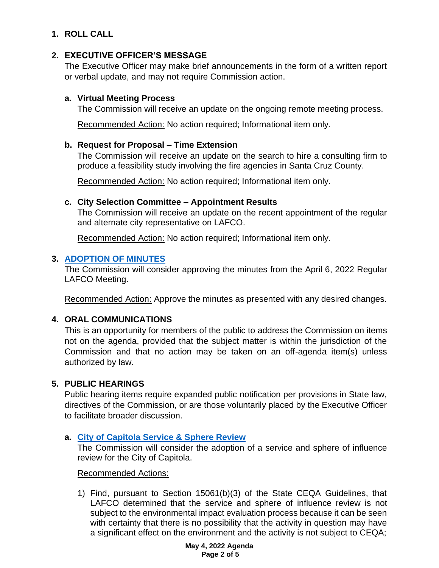# **1. ROLL CALL**

# **2. EXECUTIVE OFFICER'S MESSAGE**

The Executive Officer may make brief announcements in the form of a written report or verbal update, and may not require Commission action.

### **a. Virtual Meeting Process**

The Commission will receive an update on the ongoing remote meeting process.

Recommended Action: No action required; Informational item only.

# **b. Request for Proposal – Time Extension**

The Commission will receive an update on the search to hire a consulting firm to produce a feasibility study involving the fire agencies in Santa Cruz County.

Recommended Action: No action required; Informational item only.

## **c. City Selection Committee – Appointment Results**

The Commission will receive an update on the recent appointment of the regular and alternate city representative on LAFCO.

Recommended Action: No action required; Informational item only.

## **3. [ADOPTION OF MINUTES](https://www.santacruzlafco.org/wp-content/uploads/2022/04/3.0-Draft-Minutes-Apr-6-Meeting.pdf)**

The Commission will consider approving the minutes from the April 6, 2022 Regular LAFCO Meeting.

Recommended Action: Approve the minutes as presented with any desired changes.

# **4. ORAL COMMUNICATIONS**

This is an opportunity for members of the public to address the Commission on items not on the agenda, provided that the subject matter is within the jurisdiction of the Commission and that no action may be taken on an off-agenda item(s) unless authorized by law.

# **5. PUBLIC HEARINGS**

Public hearing items require expanded public notification per provisions in State law, directives of the Commission, or are those voluntarily placed by the Executive Officer to facilitate broader discussion.

# **a. [City of Capitola Service & Sphere Review](https://www.santacruzlafco.org/wp-content/uploads/2022/04/5a.0-Capitola-MSR-Staff-Report_Hyperlink.pdf)**

The Commission will consider the adoption of a service and sphere of influence review for the City of Capitola.

#### Recommended Actions:

1) Find, pursuant to Section 15061(b)(3) of the State CEQA Guidelines, that LAFCO determined that the service and sphere of influence review is not subject to the environmental impact evaluation process because it can be seen with certainty that there is no possibility that the activity in question may have a significant effect on the environment and the activity is not subject to CEQA;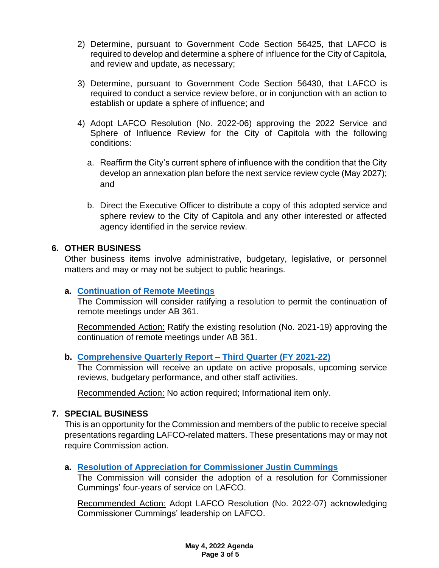- 2) Determine, pursuant to Government Code Section 56425, that LAFCO is required to develop and determine a sphere of influence for the City of Capitola, and review and update, as necessary;
- 3) Determine, pursuant to Government Code Section 56430, that LAFCO is required to conduct a service review before, or in conjunction with an action to establish or update a sphere of influence; and
- 4) Adopt LAFCO Resolution (No. 2022-06) approving the 2022 Service and Sphere of Influence Review for the City of Capitola with the following conditions:
	- a. Reaffirm the City's current sphere of influence with the condition that the City develop an annexation plan before the next service review cycle (May 2027); and
	- b. Direct the Executive Officer to distribute a copy of this adopted service and sphere review to the City of Capitola and any other interested or affected agency identified in the service review.

## **6. OTHER BUSINESS**

Other business items involve administrative, budgetary, legislative, or personnel matters and may or may not be subject to public hearings.

#### **a. [Continuation of Remote Meetings](https://www.santacruzlafco.org/wp-content/uploads/2022/04/6a.0-AB-361-Update-Staff-Report_Hyperlink.pdf)**

The Commission will consider ratifying a resolution to permit the continuation of remote meetings under AB 361.

Recommended Action: Ratify the existing resolution (No. 2021-19) approving the continuation of remote meetings under AB 361.

# **b. [Comprehensive Quarterly Report –](https://www.santacruzlafco.org/wp-content/uploads/2022/04/6b.0-Comp-Quarterly-Update-Staff-Report_Hyperlink.pdf) Third Quarter (FY 2021-22)**

The Commission will receive an update on active proposals, upcoming service reviews, budgetary performance, and other staff activities.

Recommended Action: No action required; Informational item only.

#### **7. SPECIAL BUSINESS**

This is an opportunity for the Commission and members of the public to receive special presentations regarding LAFCO-related matters. These presentations may or may not require Commission action.

#### **a. [Resolution of Appreciation for Commissioner Justin Cummings](https://www.santacruzlafco.org/wp-content/uploads/2022/04/7a.0-Commissioner-Cummings-Staff-Report_Hyperlink.pdf)**

The Commission will consider the adoption of a resolution for Commissioner Cummings' four-years of service on LAFCO.

Recommended Action: Adopt LAFCO Resolution (No. 2022-07) acknowledging Commissioner Cummings' leadership on LAFCO.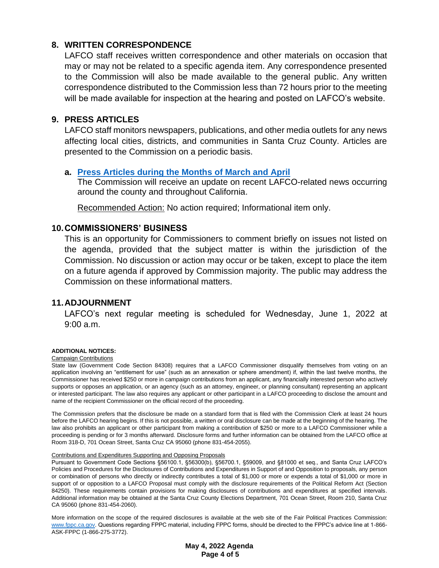## **8. WRITTEN CORRESPONDENCE**

LAFCO staff receives written correspondence and other materials on occasion that may or may not be related to a specific agenda item. Any correspondence presented to the Commission will also be made available to the general public. Any written correspondence distributed to the Commission less than 72 hours prior to the meeting will be made available for inspection at the hearing and posted on LAFCO's website.

#### **9. PRESS ARTICLES**

LAFCO staff monitors newspapers, publications, and other media outlets for any news affecting local cities, districts, and communities in Santa Cruz County. Articles are presented to the Commission on a periodic basis.

#### **a. [Press Articles during the Months](https://www.santacruzlafco.org/wp-content/uploads/2022/04/9a.0-Press-Articles-Staff-Report_Hyperlink.pdf) of March and April**

The Commission will receive an update on recent LAFCO-related news occurring around the county and throughout California.

Recommended Action: No action required; Informational item only.

#### **10.COMMISSIONERS' BUSINESS**

This is an opportunity for Commissioners to comment briefly on issues not listed on the agenda, provided that the subject matter is within the jurisdiction of the Commission. No discussion or action may occur or be taken, except to place the item on a future agenda if approved by Commission majority. The public may address the Commission on these informational matters.

#### **11.ADJOURNMENT**

LAFCO's next regular meeting is scheduled for Wednesday, June 1, 2022 at 9:00 a.m.

#### **ADDITIONAL NOTICES:**

#### Campaign Contributions

State law (Government Code Section 84308) requires that a LAFCO Commissioner disqualify themselves from voting on an application involving an "entitlement for use" (such as an annexation or sphere amendment) if, within the last twelve months, the Commissioner has received \$250 or more in campaign contributions from an applicant, any financially interested person who actively supports or opposes an application, or an agency (such as an attorney, engineer, or planning consultant) representing an applicant or interested participant. The law also requires any applicant or other participant in a LAFCO proceeding to disclose the amount and name of the recipient Commissioner on the official record of the proceeding.

The Commission prefers that the disclosure be made on a standard form that is filed with the Commission Clerk at least 24 hours before the LAFCO hearing begins. If this is not possible, a written or oral disclosure can be made at the beginning of the hearing. The law also prohibits an applicant or other participant from making a contribution of \$250 or more to a LAFCO Commissioner while a proceeding is pending or for 3 months afterward. Disclosure forms and further information can be obtained from the LAFCO office at Room 318-D, 701 Ocean Street, Santa Cruz CA 95060 (phone 831-454-2055).

#### Contributions and Expenditures Supporting and Opposing Proposals

Pursuant to Government Code Sections §56100.1, §56300(b), §56700.1, §59009, and §81000 et seq., and Santa Cruz LAFCO's Policies and Procedures for the Disclosures of Contributions and Expenditures in Support of and Opposition to proposals, any person or combination of persons who directly or indirectly contributes a total of \$1,000 or more or expends a total of \$1,000 or more in support of or opposition to a LAFCO Proposal must comply with the disclosure requirements of the Political Reform Act (Section 84250). These requirements contain provisions for making disclosures of contributions and expenditures at specified intervals. Additional information may be obtained at the Santa Cruz County Elections Department, 701 Ocean Street, Room 210, Santa Cruz CA 95060 (phone 831-454-2060).

More information on the scope of the required disclosures is available at the web site of the Fair Political Practices Commission: [www.fppc.ca.gov.](http://www.fppc.ca.gov/) Questions regarding FPPC material, including FPPC forms, should be directed to the FPPC's advice line at 1-866- ASK-FPPC (1-866-275-3772).